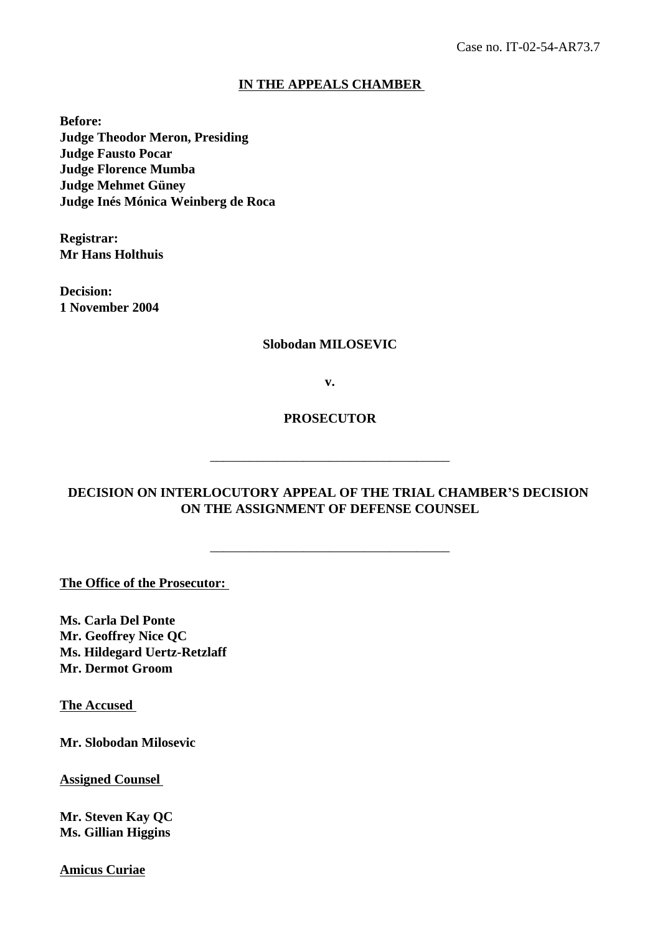# **IN THE APPEALS CHAMBER**

**Before: Judge Theodor Meron, Presiding Judge Fausto Pocar Judge Florence Mumba Judge Mehmet Güney Judge Inés Mónica Weinberg de Roca** 

**Registrar: Mr Hans Holthuis**

**Decision: 1 November 2004** 

#### **Slobodan MILOSEVIC**

**v.** 

#### **PROSECUTOR**

\_\_\_\_\_\_\_\_\_\_\_\_\_\_\_\_\_\_\_\_\_\_\_\_\_\_\_\_\_\_\_\_\_\_\_\_

**DECISION ON INTERLOCUTORY APPEAL OF THE TRIAL CHAMBER'S DECISION ON THE ASSIGNMENT OF DEFENSE COUNSEL**

\_\_\_\_\_\_\_\_\_\_\_\_\_\_\_\_\_\_\_\_\_\_\_\_\_\_\_\_\_\_\_\_\_\_\_\_

**The Office of the Prosecutor:** 

**Ms. Carla Del Ponte Mr. Geoffrey Nice QC Ms. Hildegard Uertz-Retzlaff Mr. Dermot Groom**

**The Accused** 

**Mr. Slobodan Milosevic**

**Assigned Counsel** 

**Mr. Steven Kay QC Ms. Gillian Higgins**

**Amicus Curiae**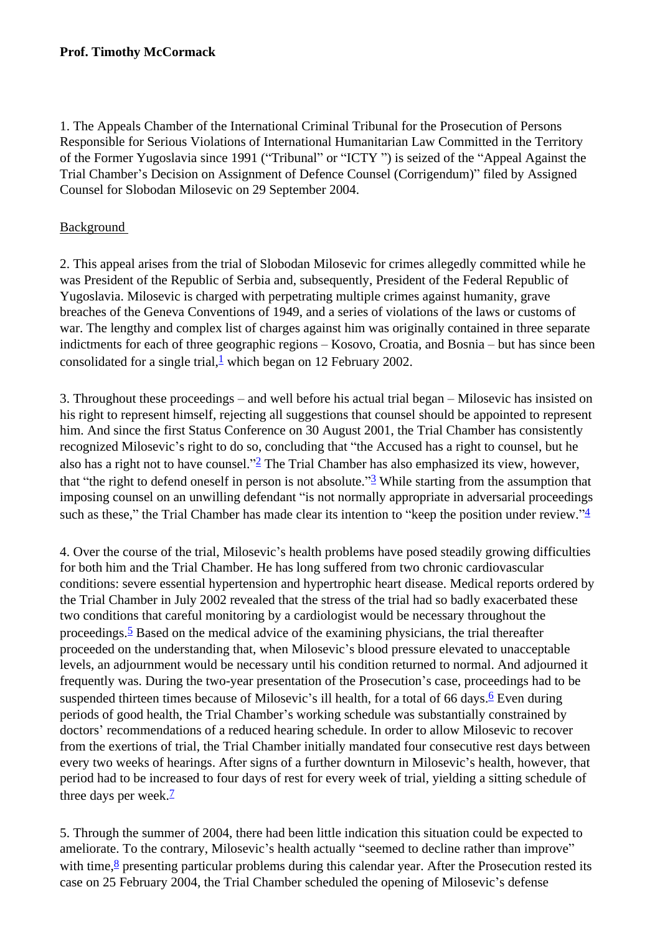# **Prof. Timothy McCormack**

1. The Appeals Chamber of the International Criminal Tribunal for the Prosecution of Persons Responsible for Serious Violations of International Humanitarian Law Committed in the Territory of the Former Yugoslavia since 1991 ("Tribunal" or "ICTY ") is seized of the "Appeal Against the Trial Chamber's Decision on Assignment of Defence Counsel (Corrigendum)" filed by Assigned Counsel for Slobodan Milosevic on 29 September 2004.

## Background

2. This appeal arises from the trial of Slobodan Milosevic for crimes allegedly committed while he was President of the Republic of Serbia and, subsequently, President of the Federal Republic of Yugoslavia. Milosevic is charged with perpetrating multiple crimes against humanity, grave breaches of the Geneva Conventions of 1949, and a series of violations of the laws or customs of war. The lengthy and complex list of charges against him was originally contained in three separate indictments for each of three geographic regions – Kosovo, Croatia, and Bosnia – but has since been consolidated for a single trial, $\frac{1}{x}$  which began on 12 February 2002.

3. Throughout these proceedings – and well before his actual trial began – Milosevic has insisted on his right to represent himself, rejecting all suggestions that counsel should be appointed to represent him. And since the first Status Conference on 30 August 2001, the Trial Chamber has consistently recognized Milosevic's right to do so, concluding that "the Accused has a right to counsel, but he also has a right not to have counsel." $\frac{2}{7}$  $\frac{2}{7}$  $\frac{2}{7}$  The Trial Chamber has also emphasized its view, however, that "the right to defend oneself in person is not absolute."<sup>[3](#page-7-2)</sup> While starting from the assumption that imposing counsel on an unwilling defendant "is not normally appropriate in adversarial proceedings such as these," the Trial Chamber has made clear its intention to "keep the position under review."<sup>[4](#page-7-3)</sup>

4. Over the course of the trial, Milosevic's health problems have posed steadily growing difficulties for both him and the Trial Chamber. He has long suffered from two chronic cardiovascular conditions: severe essential hypertension and hypertrophic heart disease. Medical reports ordered by the Trial Chamber in July 2002 revealed that the stress of the trial had so badly exacerbated these two conditions that careful monitoring by a cardiologist would be necessary throughout the proceedings. $\frac{5}{5}$  Based on the medical advice of the examining physicians, the trial thereafter proceeded on the understanding that, when Milosevic's blood pressure elevated to unacceptable levels, an adjournment would be necessary until his condition returned to normal. And adjourned it frequently was. During the two-year presentation of the Prosecution's case, proceedings had to be suspended thirteen times because of Milosevic's ill health, for a total of 66 days.<sup>6</sup> Even during periods of good health, the Trial Chamber's working schedule was substantially constrained by doctors' recommendations of a reduced hearing schedule. In order to allow Milosevic to recover from the exertions of trial, the Trial Chamber initially mandated four consecutive rest days between every two weeks of hearings. After signs of a further downturn in Milosevic's health, however, that period had to be increased to four days of rest for every week of trial, yielding a sitting schedule of three days per week. $\frac{7}{2}$  $\frac{7}{2}$  $\frac{7}{2}$ 

5. Through the summer of 2004, there had been little indication this situation could be expected to ameliorate. To the contrary, Milosevic's health actually "seemed to decline rather than improve" with time, $\frac{8}{3}$  $\frac{8}{3}$  $\frac{8}{3}$  presenting particular problems during this calendar year. After the Prosecution rested its case on 25 February 2004, the Trial Chamber scheduled the opening of Milosevic's defense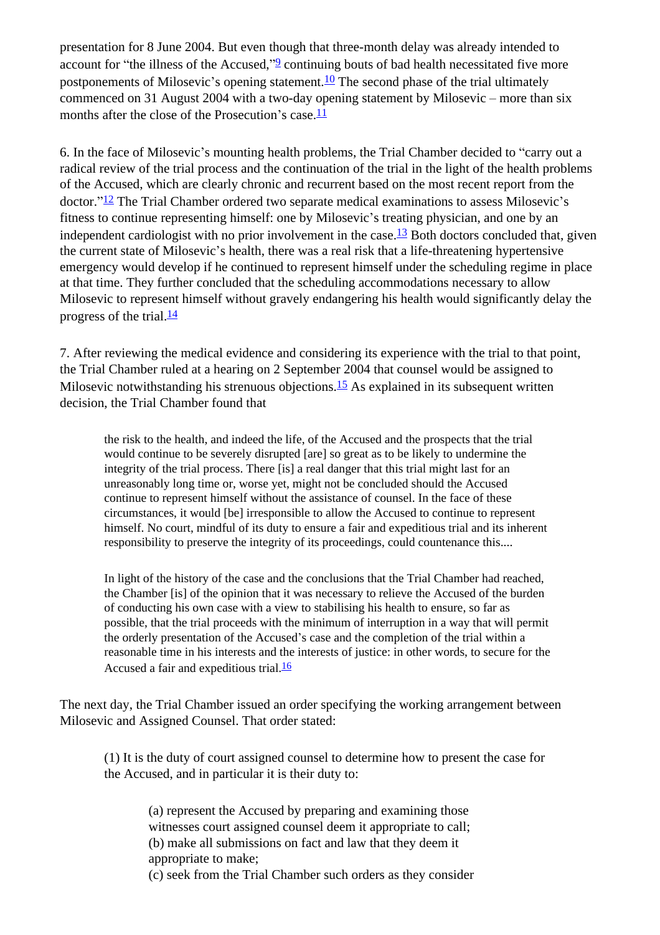presentation for 8 June 2004. But even though that three-month delay was already intended to account for "the illness of the Accused," $\frac{9}{2}$  $\frac{9}{2}$  $\frac{9}{2}$  continuing bouts of bad health necessitated five more postponements of Milosevic's opening statement.<sup>10</sup> The second phase of the trial ultimately commenced on 31 August 2004 with a two-day opening statement by Milosevic – more than six months after the close of the Prosecution's case. $\frac{11}{12}$ 

6. In the face of Milosevic's mounting health problems, the Trial Chamber decided to "carry out a radical review of the trial process and the continuation of the trial in the light of the health problems of the Accused, which are clearly chronic and recurrent based on the most recent report from the doctor." $\frac{12}{2}$  The Trial Chamber ordered two separate medical examinations to assess Milosevic's fitness to continue representing himself: one by Milosevic's treating physician, and one by an independent cardiologist with no prior involvement in the case.<sup>[13](#page-7-12)</sup> Both doctors concluded that, given the current state of Milosevic's health, there was a real risk that a life-threatening hypertensive emergency would develop if he continued to represent himself under the scheduling regime in place at that time. They further concluded that the scheduling accommodations necessary to allow Milosevic to represent himself without gravely endangering his health would significantly delay the progress of the trial. $\frac{14}{1}$  $\frac{14}{1}$  $\frac{14}{1}$ 

7. After reviewing the medical evidence and considering its experience with the trial to that point, the Trial Chamber ruled at a hearing on 2 September 2004 that counsel would be assigned to Milosevic notwithstanding his strenuous objections.<sup>[15](#page-7-14)</sup> As explained in its subsequent written decision, the Trial Chamber found that

the risk to the health, and indeed the life, of the Accused and the prospects that the trial would continue to be severely disrupted [are] so great as to be likely to undermine the integrity of the trial process. There [is] a real danger that this trial might last for an unreasonably long time or, worse yet, might not be concluded should the Accused continue to represent himself without the assistance of counsel. In the face of these circumstances, it would [be] irresponsible to allow the Accused to continue to represent himself. No court, mindful of its duty to ensure a fair and expeditious trial and its inherent responsibility to preserve the integrity of its proceedings, could countenance this....

In light of the history of the case and the conclusions that the Trial Chamber had reached, the Chamber [is] of the opinion that it was necessary to relieve the Accused of the burden of conducting his own case with a view to stabilising his health to ensure, so far as possible, that the trial proceeds with the minimum of interruption in a way that will permit the orderly presentation of the Accused's case and the completion of the trial within a reasonable time in his interests and the interests of justice: in other words, to secure for the Accused a fair and expeditious trial.<sup>[16](#page-7-15)</sup>

The next day, the Trial Chamber issued an order specifying the working arrangement between Milosevic and Assigned Counsel. That order stated:

(1) It is the duty of court assigned counsel to determine how to present the case for the Accused, and in particular it is their duty to:

> (a) represent the Accused by preparing and examining those witnesses court assigned counsel deem it appropriate to call; (b) make all submissions on fact and law that they deem it appropriate to make; (c) seek from the Trial Chamber such orders as they consider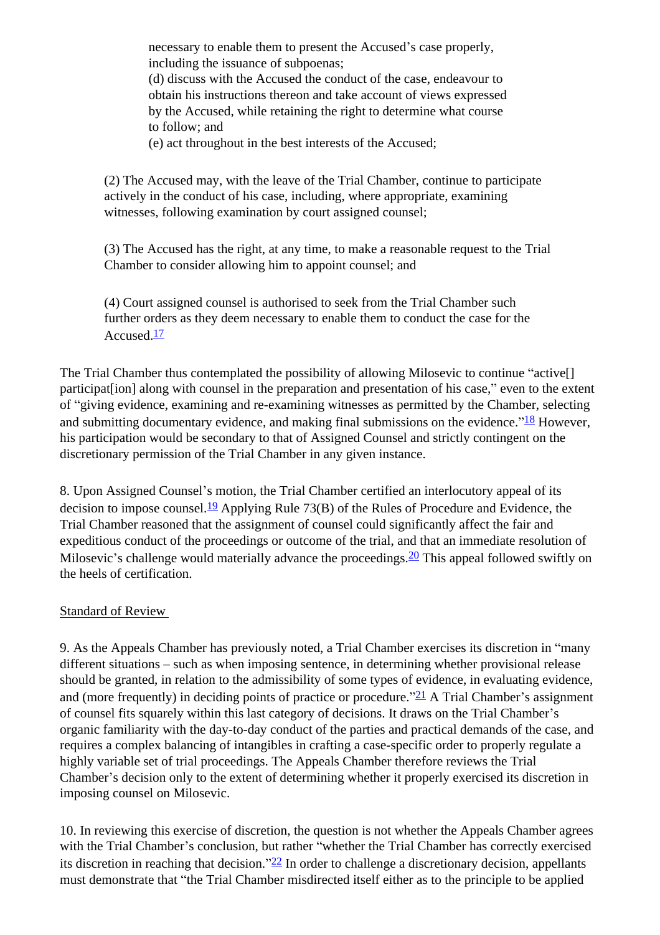necessary to enable them to present the Accused's case properly, including the issuance of subpoenas;

(d) discuss with the Accused the conduct of the case, endeavour to obtain his instructions thereon and take account of views expressed by the Accused, while retaining the right to determine what course to follow; and

(e) act throughout in the best interests of the Accused;

(2) The Accused may, with the leave of the Trial Chamber, continue to participate actively in the conduct of his case, including, where appropriate, examining witnesses, following examination by court assigned counsel;

(3) The Accused has the right, at any time, to make a reasonable request to the Trial Chamber to consider allowing him to appoint counsel; and

(4) Court assigned counsel is authorised to seek from the Trial Chamber such further orders as they deem necessary to enable them to conduct the case for the Accused[.17](#page-7-16)

The Trial Chamber thus contemplated the possibility of allowing Milosevic to continue "active[] participat[ion] along with counsel in the preparation and presentation of his case," even to the extent of "giving evidence, examining and re-examining witnesses as permitted by the Chamber, selecting and submitting documentary evidence, and making final submissions on the evidence." $\frac{18}{18}$  $\frac{18}{18}$  $\frac{18}{18}$  However, his participation would be secondary to that of Assigned Counsel and strictly contingent on the discretionary permission of the Trial Chamber in any given instance.

8. Upon Assigned Counsel's motion, the Trial Chamber certified an interlocutory appeal of its decision to impose counsel.<sup>[19](#page-7-18)</sup> Applying Rule 73(B) of the Rules of Procedure and Evidence, the Trial Chamber reasoned that the assignment of counsel could significantly affect the fair and expeditious conduct of the proceedings or outcome of the trial, and that an immediate resolution of Milosevic's challenge would materially advance the proceedings.  $\frac{20}{2}$  This appeal followed swiftly on the heels of certification.

### Standard of Review

9. As the Appeals Chamber has previously noted, a Trial Chamber exercises its discretion in "many different situations – such as when imposing sentence, in determining whether provisional release should be granted, in relation to the admissibility of some types of evidence, in evaluating evidence, and (more frequently) in deciding points of practice or procedure." $\frac{21}{21}$  $\frac{21}{21}$  $\frac{21}{21}$  A Trial Chamber's assignment of counsel fits squarely within this last category of decisions. It draws on the Trial Chamber's organic familiarity with the day-to-day conduct of the parties and practical demands of the case, and requires a complex balancing of intangibles in crafting a case-specific order to properly regulate a highly variable set of trial proceedings. The Appeals Chamber therefore reviews the Trial Chamber's decision only to the extent of determining whether it properly exercised its discretion in imposing counsel on Milosevic.

10. In reviewing this exercise of discretion, the question is not whether the Appeals Chamber agrees with the Trial Chamber's conclusion, but rather "whether the Trial Chamber has correctly exercised its discretion in reaching that decision." $22$  In order to challenge a discretionary decision, appellants must demonstrate that "the Trial Chamber misdirected itself either as to the principle to be applied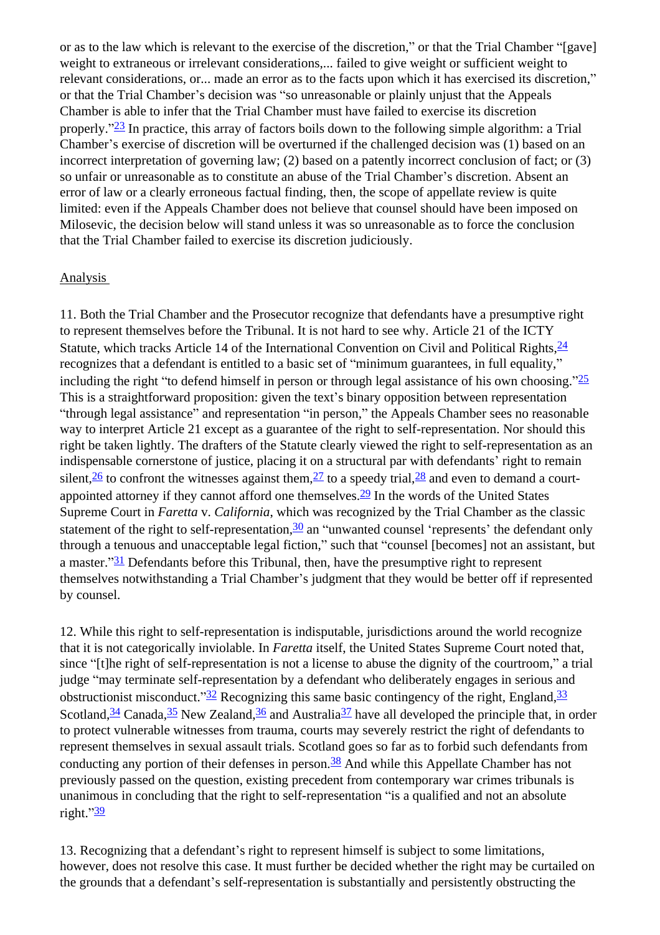or as to the law which is relevant to the exercise of the discretion," or that the Trial Chamber "[gave] weight to extraneous or irrelevant considerations,... failed to give weight or sufficient weight to relevant considerations, or... made an error as to the facts upon which it has exercised its discretion," or that the Trial Chamber's decision was "so unreasonable or plainly unjust that the Appeals Chamber is able to infer that the Trial Chamber must have failed to exercise its discretion properly."[23](#page-8-0) In practice, this array of factors boils down to the following simple algorithm: a Trial Chamber's exercise of discretion will be overturned if the challenged decision was (1) based on an incorrect interpretation of governing law; (2) based on a patently incorrect conclusion of fact; or (3) so unfair or unreasonable as to constitute an abuse of the Trial Chamber's discretion. Absent an error of law or a clearly erroneous factual finding, then, the scope of appellate review is quite limited: even if the Appeals Chamber does not believe that counsel should have been imposed on Milosevic, the decision below will stand unless it was so unreasonable as to force the conclusion that the Trial Chamber failed to exercise its discretion judiciously.

#### Analysis

11. Both the Trial Chamber and the Prosecutor recognize that defendants have a presumptive right to represent themselves before the Tribunal. It is not hard to see why. Article 21 of the ICTY Statute, which tracks Article 14 of the International Convention on Civil and Political Rights,  $\frac{24}{3}$ recognizes that a defendant is entitled to a basic set of "minimum guarantees, in full equality," including the right "to defend himself in person or through legal assistance of his own choosing." $25$ This is a straightforward proposition: given the text's binary opposition between representation "through legal assistance" and representation "in person," the Appeals Chamber sees no reasonable way to interpret Article 21 except as a guarantee of the right to self-representation. Nor should this right be taken lightly. The drafters of the Statute clearly viewed the right to self-representation as an indispensable cornerstone of justice, placing it on a structural par with defendants' right to remain silent,  $\frac{26}{10}$  to confront the witnesses against them,  $\frac{27}{10}$  to a speedy trial,  $\frac{28}{10}$  and even to demand a courtappointed attorney if they cannot afford one themselves.[29](#page-8-6) In the words of the United States Supreme Court in *Faretta* v. *California*, which was recognized by the Trial Chamber as the classic statement of the right to self-representation,  $\frac{30}{2}$  an "unwanted counsel 'represents' the defendant only through a tenuous and unacceptable legal fiction," such that "counsel [becomes] not an assistant, but a master."[31](#page-8-8) Defendants before this Tribunal, then, have the presumptive right to represent themselves notwithstanding a Trial Chamber's judgment that they would be better off if represented by counsel.

12. While this right to self-representation is indisputable, jurisdictions around the world recognize that it is not categorically inviolable. In *Faretta* itself, the United States Supreme Court noted that, since "[t]he right of self-representation is not a license to abuse the dignity of the courtroom," a trial judge "may terminate self-representation by a defendant who deliberately engages in serious and obstructionist misconduct." $\frac{32}{2}$  Recognizing this same basic contingency of the right, England,  $\frac{33}{2}$  $\frac{33}{2}$  $\frac{33}{2}$ Scotland,  $\frac{34}{3}$  Canada,  $\frac{35}{3}$  $\frac{35}{3}$  $\frac{35}{3}$  New Zealand,  $\frac{36}{3}$  and Australia  $\frac{37}{3}$  have all developed the principle that, in order to protect vulnerable witnesses from trauma, courts may severely restrict the right of defendants to represent themselves in sexual assault trials. Scotland goes so far as to forbid such defendants from conducting any portion of their defenses in person.<sup>38</sup> And while this Appellate Chamber has not previously passed on the question, existing precedent from contemporary war crimes tribunals is unanimous in concluding that the right to self-representation "is a qualified and not an absolute right."<sup>[39](#page-8-16)</sup>

13. Recognizing that a defendant's right to represent himself is subject to some limitations, however, does not resolve this case. It must further be decided whether the right may be curtailed on the grounds that a defendant's self-representation is substantially and persistently obstructing the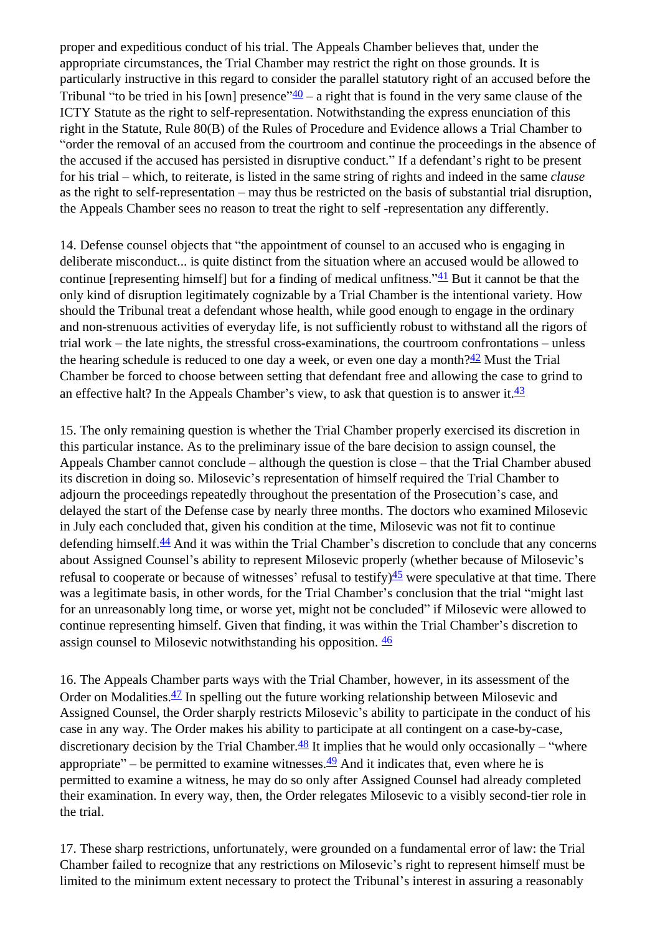proper and expeditious conduct of his trial. The Appeals Chamber believes that, under the appropriate circumstances, the Trial Chamber may restrict the right on those grounds. It is particularly instructive in this regard to consider the parallel statutory right of an accused before the Tribunal "to be tried in his [own] presence"  $\frac{40}{4}$  $\frac{40}{4}$  $\frac{40}{4}$  – a right that is found in the very same clause of the ICTY Statute as the right to self-representation. Notwithstanding the express enunciation of this right in the Statute, Rule 80(B) of the Rules of Procedure and Evidence allows a Trial Chamber to "order the removal of an accused from the courtroom and continue the proceedings in the absence of the accused if the accused has persisted in disruptive conduct." If a defendant's right to be present for his trial – which, to reiterate, is listed in the same string of rights and indeed in the same *clause*  as the right to self-representation – may thus be restricted on the basis of substantial trial disruption, the Appeals Chamber sees no reason to treat the right to self -representation any differently.

14. Defense counsel objects that "the appointment of counsel to an accused who is engaging in deliberate misconduct... is quite distinct from the situation where an accused would be allowed to continue [representing himself] but for a finding of medical unfitness." $\frac{41}{4}$  $\frac{41}{4}$  $\frac{41}{4}$  But it cannot be that the only kind of disruption legitimately cognizable by a Trial Chamber is the intentional variety. How should the Tribunal treat a defendant whose health, while good enough to engage in the ordinary and non-strenuous activities of everyday life, is not sufficiently robust to withstand all the rigors of trial work – the late nights, the stressful cross-examinations, the courtroom confrontations – unless the hearing schedule is reduced to one day a week, or even one day a month? $\frac{42}{4}$  Must the Trial Chamber be forced to choose between setting that defendant free and allowing the case to grind to an effective halt? In the Appeals Chamber's view, to ask that question is to answer it. $\frac{43}{5}$  $\frac{43}{5}$  $\frac{43}{5}$ 

15. The only remaining question is whether the Trial Chamber properly exercised its discretion in this particular instance. As to the preliminary issue of the bare decision to assign counsel, the Appeals Chamber cannot conclude – although the question is close – that the Trial Chamber abused its discretion in doing so. Milosevic's representation of himself required the Trial Chamber to adjourn the proceedings repeatedly throughout the presentation of the Prosecution's case, and delayed the start of the Defense case by nearly three months. The doctors who examined Milosevic in July each concluded that, given his condition at the time, Milosevic was not fit to continue defending himself.<sup>44</sup> And it was within the Trial Chamber's discretion to conclude that any concerns about Assigned Counsel's ability to represent Milosevic properly (whether because of Milosevic's refusal to cooperate or because of witnesses' refusal to testify) $\frac{45}{2}$  $\frac{45}{2}$  $\frac{45}{2}$  were speculative at that time. There was a legitimate basis, in other words, for the Trial Chamber's conclusion that the trial "might last for an unreasonably long time, or worse yet, might not be concluded" if Milosevic were allowed to continue representing himself. Given that finding, it was within the Trial Chamber's discretion to assign counsel to Milosevic notwithstanding his opposition. [46](#page-8-23)

16. The Appeals Chamber parts ways with the Trial Chamber, however, in its assessment of the Order on Modalities. $\frac{47}{1}$  In spelling out the future working relationship between Milosevic and Assigned Counsel, the Order sharply restricts Milosevic's ability to participate in the conduct of his case in any way. The Order makes his ability to participate at all contingent on a case-by-case, discretionary decision by the Trial Chamber. $\frac{48}{3}$  $\frac{48}{3}$  $\frac{48}{3}$  It implies that he would only occasionally – "where appropriate" – be permitted to examine witnesses. $\frac{49}{2}$  And it indicates that, even where he is permitted to examine a witness, he may do so only after Assigned Counsel had already completed their examination. In every way, then, the Order relegates Milosevic to a visibly second-tier role in the trial.

17. These sharp restrictions, unfortunately, were grounded on a fundamental error of law: the Trial Chamber failed to recognize that any restrictions on Milosevic's right to represent himself must be limited to the minimum extent necessary to protect the Tribunal's interest in assuring a reasonably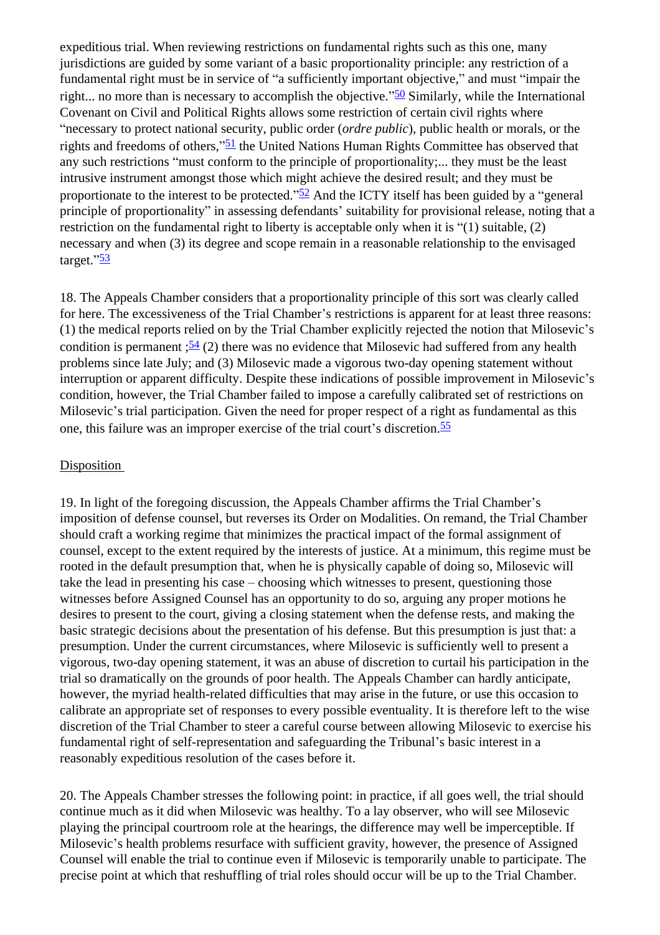expeditious trial. When reviewing restrictions on fundamental rights such as this one, many jurisdictions are guided by some variant of a basic proportionality principle: any restriction of a fundamental right must be in service of "a sufficiently important objective," and must "impair the right... no more than is necessary to accomplish the objective."[50](#page-9-3) Similarly, while the International Covenant on Civil and Political Rights allows some restriction of certain civil rights where "necessary to protect national security, public order (*ordre public*), public health or morals, or the rights and freedoms of others,"[51](#page-9-4) the United Nations Human Rights Committee has observed that any such restrictions "must conform to the principle of proportionality;... they must be the least intrusive instrument amongst those which might achieve the desired result; and they must be proportionate to the interest to be protected." $\frac{52}{2}$  $\frac{52}{2}$  $\frac{52}{2}$  And the ICTY itself has been guided by a "general" principle of proportionality" in assessing defendants' suitability for provisional release, noting that a restriction on the fundamental right to liberty is acceptable only when it is "(1) suitable, (2) necessary and when (3) its degree and scope remain in a reasonable relationship to the envisaged target. $\frac{53}{5}$  $\frac{53}{5}$  $\frac{53}{5}$ 

18. The Appeals Chamber considers that a proportionality principle of this sort was clearly called for here. The excessiveness of the Trial Chamber's restrictions is apparent for at least three reasons: (1) the medical reports relied on by the Trial Chamber explicitly rejected the notion that Milosevic's condition is permanent  $\frac{54}{54}$  (2) there was no evidence that Milosevic had suffered from any health problems since late July; and (3) Milosevic made a vigorous two-day opening statement without interruption or apparent difficulty. Despite these indications of possible improvement in Milosevic's condition, however, the Trial Chamber failed to impose a carefully calibrated set of restrictions on Milosevic's trial participation. Given the need for proper respect of a right as fundamental as this one, this failure was an improper exercise of the trial court's discretion.[55](#page-9-8)

## **Disposition**

19. In light of the foregoing discussion, the Appeals Chamber affirms the Trial Chamber's imposition of defense counsel, but reverses its Order on Modalities. On remand, the Trial Chamber should craft a working regime that minimizes the practical impact of the formal assignment of counsel, except to the extent required by the interests of justice. At a minimum, this regime must be rooted in the default presumption that, when he is physically capable of doing so, Milosevic will take the lead in presenting his case – choosing which witnesses to present, questioning those witnesses before Assigned Counsel has an opportunity to do so, arguing any proper motions he desires to present to the court, giving a closing statement when the defense rests, and making the basic strategic decisions about the presentation of his defense. But this presumption is just that: a presumption. Under the current circumstances, where Milosevic is sufficiently well to present a vigorous, two-day opening statement, it was an abuse of discretion to curtail his participation in the trial so dramatically on the grounds of poor health. The Appeals Chamber can hardly anticipate, however, the myriad health-related difficulties that may arise in the future, or use this occasion to calibrate an appropriate set of responses to every possible eventuality. It is therefore left to the wise discretion of the Trial Chamber to steer a careful course between allowing Milosevic to exercise his fundamental right of self-representation and safeguarding the Tribunal's basic interest in a reasonably expeditious resolution of the cases before it.

20. The Appeals Chamber stresses the following point: in practice, if all goes well, the trial should continue much as it did when Milosevic was healthy. To a lay observer, who will see Milosevic playing the principal courtroom role at the hearings, the difference may well be imperceptible. If Milosevic's health problems resurface with sufficient gravity, however, the presence of Assigned Counsel will enable the trial to continue even if Milosevic is temporarily unable to participate. The precise point at which that reshuffling of trial roles should occur will be up to the Trial Chamber.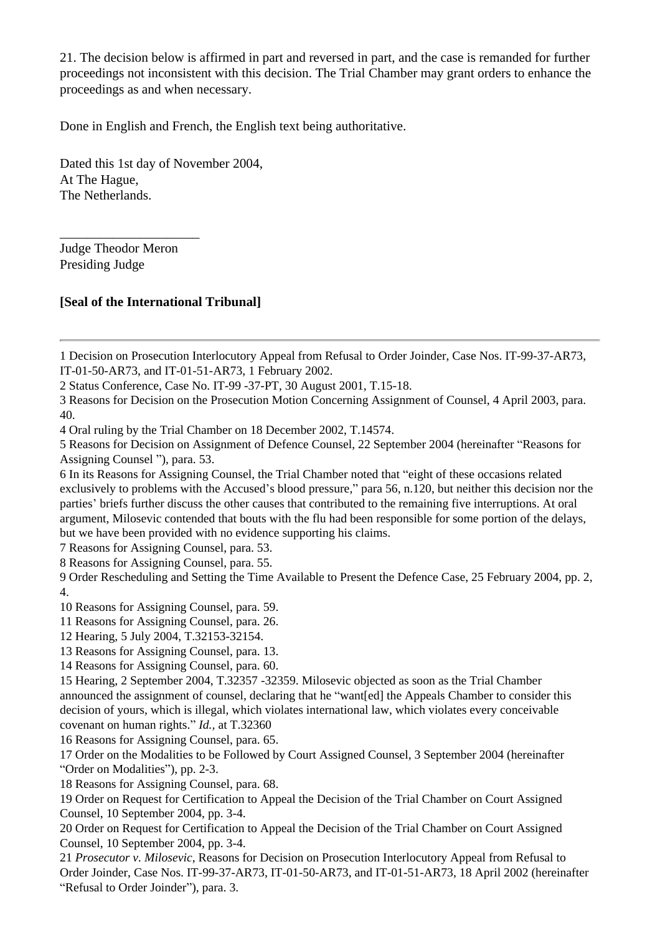21. The decision below is affirmed in part and reversed in part, and the case is remanded for further proceedings not inconsistent with this decision. The Trial Chamber may grant orders to enhance the proceedings as and when necessary.

Done in English and French, the English text being authoritative.

Dated this 1st day of November 2004, At The Hague, The Netherlands.

Judge Theodor Meron Presiding Judge

\_\_\_\_\_\_\_\_\_\_\_\_\_\_\_\_\_\_\_\_\_

# **[Seal of the International Tribunal]**

<span id="page-7-6"></span>7 Reasons for Assigning Counsel, para. 53.

<span id="page-7-7"></span>8 Reasons for Assigning Counsel, para. 55.

<span id="page-7-15"></span>16 Reasons for Assigning Counsel, para. 65.

<span id="page-7-16"></span>17 Order on the Modalities to be Followed by Court Assigned Counsel, 3 September 2004 (hereinafter "Order on Modalities"), pp. 2-3.

<span id="page-7-17"></span>18 Reasons for Assigning Counsel, para. 68.

<span id="page-7-0"></span><sup>1</sup> Decision on Prosecution Interlocutory Appeal from Refusal to Order Joinder, Case Nos. IT-99-37-AR73, IT-01-50-AR73, and IT-01-51-AR73, 1 February 2002.

<span id="page-7-1"></span><sup>2</sup> Status Conference, Case No. IT-99 -37-PT, 30 August 2001, T.15-18.

<span id="page-7-2"></span><sup>3</sup> Reasons for Decision on the Prosecution Motion Concerning Assignment of Counsel, 4 April 2003, para. 40.

<span id="page-7-3"></span><sup>4</sup> Oral ruling by the Trial Chamber on 18 December 2002, T.14574.

<span id="page-7-4"></span><sup>5</sup> Reasons for Decision on Assignment of Defence Counsel, 22 September 2004 (hereinafter "Reasons for Assigning Counsel "), para. 53.

<span id="page-7-5"></span><sup>6</sup> In its Reasons for Assigning Counsel, the Trial Chamber noted that "eight of these occasions related exclusively to problems with the Accused's blood pressure," para 56, n.120, but neither this decision nor the parties' briefs further discuss the other causes that contributed to the remaining five interruptions. At oral argument, Milosevic contended that bouts with the flu had been responsible for some portion of the delays, but we have been provided with no evidence supporting his claims.

<span id="page-7-8"></span><sup>9</sup> Order Rescheduling and Setting the Time Available to Present the Defence Case, 25 February 2004, pp. 2, 4.

<span id="page-7-9"></span><sup>10</sup> Reasons for Assigning Counsel, para. 59.

<span id="page-7-10"></span><sup>11</sup> Reasons for Assigning Counsel, para. 26.

<span id="page-7-12"></span><span id="page-7-11"></span><sup>12</sup> Hearing, 5 July 2004, T.32153-32154.

<sup>13</sup> Reasons for Assigning Counsel, para. 13.

<span id="page-7-13"></span><sup>14</sup> Reasons for Assigning Counsel, para. 60.

<span id="page-7-14"></span><sup>15</sup> Hearing, 2 September 2004, T.32357 -32359. Milosevic objected as soon as the Trial Chamber announced the assignment of counsel, declaring that he "want[ed] the Appeals Chamber to consider this decision of yours, which is illegal, which violates international law, which violates every conceivable covenant on human rights." *Id.,* at T.32360

<span id="page-7-18"></span><sup>19</sup> Order on Request for Certification to Appeal the Decision of the Trial Chamber on Court Assigned Counsel, 10 September 2004, pp. 3-4.

<span id="page-7-19"></span><sup>20</sup> Order on Request for Certification to Appeal the Decision of the Trial Chamber on Court Assigned Counsel, 10 September 2004, pp. 3-4.

<span id="page-7-21"></span><span id="page-7-20"></span><sup>21</sup> *Prosecutor v. Milosevic*, Reasons for Decision on Prosecution Interlocutory Appeal from Refusal to Order Joinder, Case Nos. IT-99-37-AR73, IT-01-50-AR73, and IT-01-51-AR73, 18 April 2002 (hereinafter "Refusal to Order Joinder"), para. 3.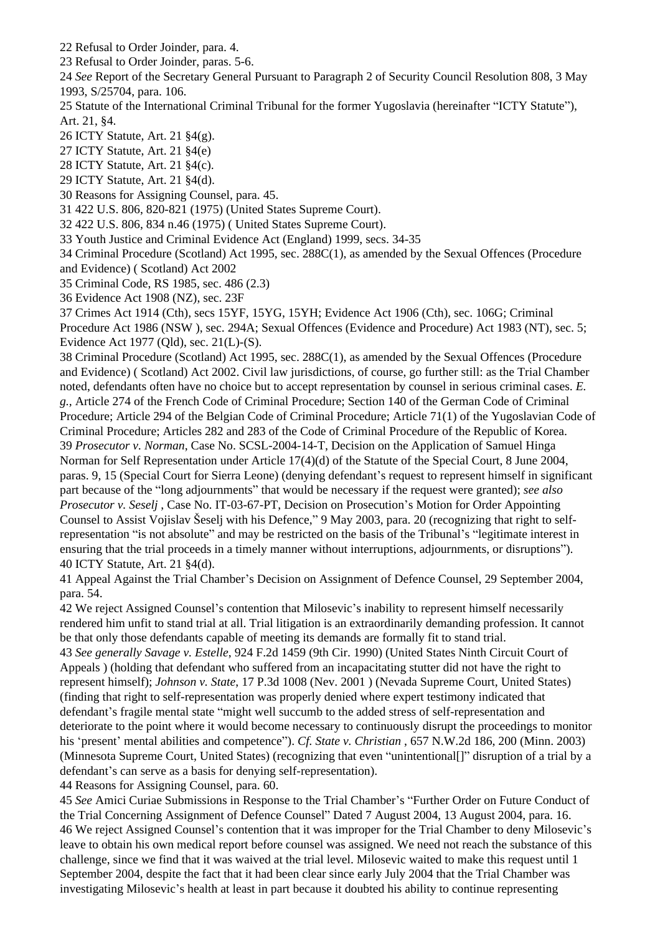- 22 Refusal to Order Joinder, para. 4.
- <span id="page-8-0"></span>23 Refusal to Order Joinder, paras. 5-6.

<span id="page-8-1"></span>24 *See* Report of the Secretary General Pursuant to Paragraph 2 of Security Council Resolution 808, 3 May 1993, S/25704, para. 106.

<span id="page-8-2"></span>25 Statute of the International Criminal Tribunal for the former Yugoslavia (hereinafter "ICTY Statute"), Art. 21, §4.

- <span id="page-8-3"></span>26 ICTY Statute, Art. 21 §4(g).
- <span id="page-8-4"></span>27 ICTY Statute, Art. 21 §4(e)
- <span id="page-8-5"></span>28 ICTY Statute, Art. 21 §4(c).
- <span id="page-8-6"></span>29 ICTY Statute, Art. 21 §4(d).
- <span id="page-8-7"></span>30 Reasons for Assigning Counsel, para. 45.
- <span id="page-8-8"></span>31 422 U.S. 806, 820-821 (1975) (United States Supreme Court).
- <span id="page-8-9"></span>32 422 U.S. 806, 834 n.46 (1975) ( United States Supreme Court).
- <span id="page-8-10"></span>33 Youth Justice and Criminal Evidence Act (England) 1999, secs. 34-35

<span id="page-8-11"></span>34 Criminal Procedure (Scotland) Act 1995, sec. 288C(1), as amended by the Sexual Offences (Procedure and Evidence) ( Scotland) Act 2002

- <span id="page-8-12"></span>35 Criminal Code, RS 1985, sec. 486 (2.3)
- <span id="page-8-13"></span>36 Evidence Act 1908 (NZ), sec. 23F

<span id="page-8-14"></span>37 Crimes Act 1914 (Cth), secs 15YF, 15YG, 15YH; Evidence Act 1906 (Cth), sec. 106G; Criminal Procedure Act 1986 (NSW ), sec. 294A; Sexual Offences (Evidence and Procedure) Act 1983 (NT), sec. 5; Evidence Act 1977 (Qld), sec. 21(L)-(S).

<span id="page-8-16"></span><span id="page-8-15"></span>38 Criminal Procedure (Scotland) Act 1995, sec. 288C(1), as amended by the Sexual Offences (Procedure and Evidence) ( Scotland) Act 2002. Civil law jurisdictions, of course, go further still: as the Trial Chamber noted, defendants often have no choice but to accept representation by counsel in serious criminal cases. *E. g.,* Article 274 of the French Code of Criminal Procedure; Section 140 of the German Code of Criminal Procedure; Article 294 of the Belgian Code of Criminal Procedure; Article 71(1) of the Yugoslavian Code of Criminal Procedure; Articles 282 and 283 of the Code of Criminal Procedure of the Republic of Korea. 39 *Prosecutor v. Norman*, Case No. SCSL-2004-14-T, Decision on the Application of Samuel Hinga Norman for Self Representation under Article 17(4)(d) of the Statute of the Special Court, 8 June 2004, paras. 9, 15 (Special Court for Sierra Leone) (denying defendant's request to represent himself in significant part because of the "long adjournments" that would be necessary if the request were granted); *see also Prosecutor v. Seselj* , Case No. IT-03-67-PT, Decision on Prosecution's Motion for Order Appointing Counsel to Assist Vojislav Šeselj with his Defence," 9 May 2003, para. 20 (recognizing that right to selfrepresentation "is not absolute" and may be restricted on the basis of the Tribunal's "legitimate interest in ensuring that the trial proceeds in a timely manner without interruptions, adjournments, or disruptions"). 40 ICTY Statute, Art. 21 §4(d).

<span id="page-8-18"></span><span id="page-8-17"></span>41 Appeal Against the Trial Chamber's Decision on Assignment of Defence Counsel, 29 September 2004, para. 54.

<span id="page-8-19"></span>42 We reject Assigned Counsel's contention that Milosevic's inability to represent himself necessarily rendered him unfit to stand trial at all. Trial litigation is an extraordinarily demanding profession. It cannot be that only those defendants capable of meeting its demands are formally fit to stand trial.

<span id="page-8-20"></span>43 *See generally Savage v. Estelle*, 924 F.2d 1459 (9th Cir. 1990) (United States Ninth Circuit Court of Appeals ) (holding that defendant who suffered from an incapacitating stutter did not have the right to represent himself); *Johnson v. State*, 17 P.3d 1008 (Nev. 2001 ) (Nevada Supreme Court, United States) (finding that right to self-representation was properly denied where expert testimony indicated that defendant's fragile mental state "might well succumb to the added stress of self-representation and deteriorate to the point where it would become necessary to continuously disrupt the proceedings to monitor his 'present' mental abilities and competence"). *Cf. State v. Christian* , 657 N.W.2d 186, 200 (Minn. 2003) (Minnesota Supreme Court, United States) (recognizing that even "unintentional[]" disruption of a trial by a defendant's can serve as a basis for denying self-representation).

<span id="page-8-21"></span>44 Reasons for Assigning Counsel, para. 60.

<span id="page-8-23"></span><span id="page-8-22"></span>45 *See* Amici Curiae Submissions in Response to the Trial Chamber's "Further Order on Future Conduct of the Trial Concerning Assignment of Defence Counsel" Dated 7 August 2004, 13 August 2004, para. 16. 46 We reject Assigned Counsel's contention that it was improper for the Trial Chamber to deny Milosevic's leave to obtain his own medical report before counsel was assigned. We need not reach the substance of this challenge, since we find that it was waived at the trial level. Milosevic waited to make this request until 1 September 2004, despite the fact that it had been clear since early July 2004 that the Trial Chamber was investigating Milosevic's health at least in part because it doubted his ability to continue representing